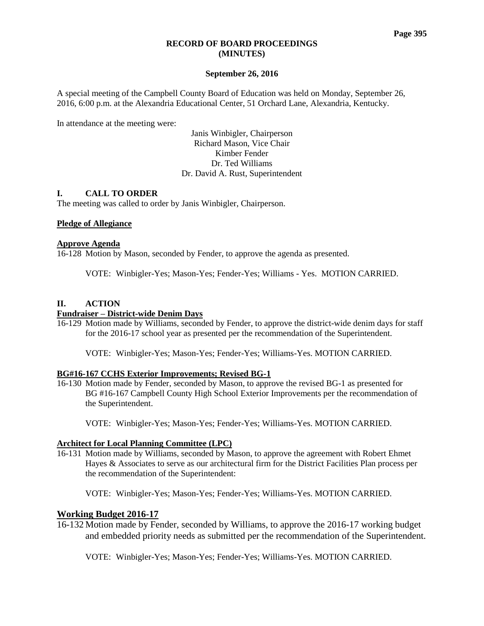#### **RECORD OF BOARD PROCEEDINGS (MINUTES)**

#### **September 26, 2016**

A special meeting of the Campbell County Board of Education was held on Monday, September 26, 2016, 6:00 p.m. at the Alexandria Educational Center, 51 Orchard Lane, Alexandria, Kentucky.

In attendance at the meeting were:

Janis Winbigler, Chairperson Richard Mason, Vice Chair Kimber Fender Dr. Ted Williams Dr. David A. Rust, Superintendent

## **I. CALL TO ORDER**

The meeting was called to order by Janis Winbigler, Chairperson.

#### **Pledge of Allegiance**

#### **Approve Agenda**

16-128 Motion by Mason, seconded by Fender, to approve the agenda as presented.

VOTE: Winbigler-Yes; Mason-Yes; Fender-Yes; Williams - Yes. MOTION CARRIED.

#### **II. ACTION**

#### **Fundraiser – District-wide Denim Days**

16-129 Motion made by Williams, seconded by Fender, to approve the district-wide denim days for staff for the 2016-17 school year as presented per the recommendation of the Superintendent.

VOTE: Winbigler-Yes; Mason-Yes; Fender-Yes; Williams-Yes. MOTION CARRIED.

## **BG#16-167 CCHS Exterior Improvements; Revised BG-1**

16-130 Motion made by Fender, seconded by Mason, to approve the revised BG-1 as presented for BG #16-167 Campbell County High School Exterior Improvements per the recommendation of the Superintendent.

VOTE: Winbigler-Yes; Mason-Yes; Fender-Yes; Williams-Yes. MOTION CARRIED.

## **Architect for Local Planning Committee (LPC)**

16-131 Motion made by Williams, seconded by Mason, to approve the agreement with Robert Ehmet Hayes & Associates to serve as our architectural firm for the District Facilities Plan process per the recommendation of the Superintendent:

VOTE: Winbigler-Yes; Mason-Yes; Fender-Yes; Williams-Yes. MOTION CARRIED.

## **Working Budget 2016-17**

16-132 Motion made by Fender, seconded by Williams, to approve the 2016-17 working budget and embedded priority needs as submitted per the recommendation of the Superintendent.

VOTE: Winbigler-Yes; Mason-Yes; Fender-Yes; Williams-Yes. MOTION CARRIED.